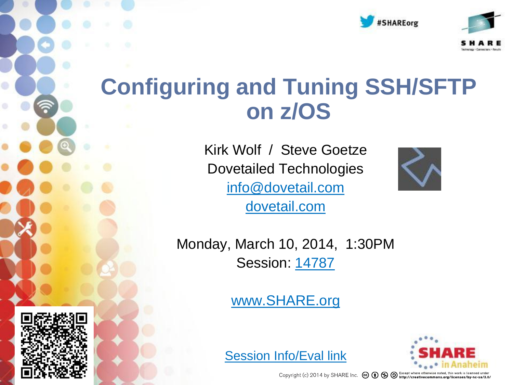



# **Configuring and Tuning SSH/SFTP on z/OS**

Kirk Wolf / Steve Goetze Dovetailed Technologies [info@dovetail.com](mailto:info@dovetail.com) [dovetail.com](http://dovetail.com/)



Monday, March 10, 2014, 1:30PM Session: [14787](https://share.confex.com/share/122/webprogrameval/Session14787.html)

[www.SHARE.org](http://www.share.org/)







Copyright (c) 2014 by SHARE Inc.  $\circled{c}$   $\circled{d}$   $\circled{S}$   $\circled{D}$  Except where otherwise noted, this work is licensed under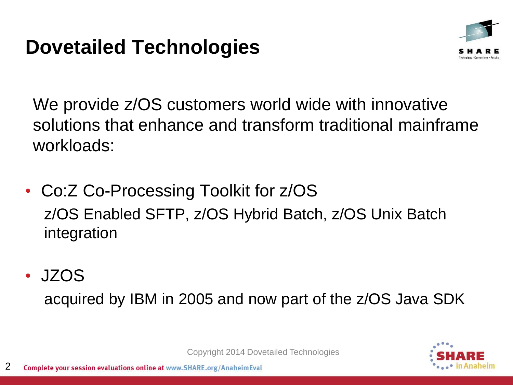#### **Dovetailed Technologies**



We provide  $z/OS$  customers world wide with innovative solutions that enhance and transform traditional mainframe workloads:

- Co:Z Co-Processing Toolkit for z/OS z/OS Enabled SFTP, z/OS Hybrid Batch, z/OS Unix Batch integration
- JZOS

acquired by IBM in 2005 and now part of the z/OS Java SDK

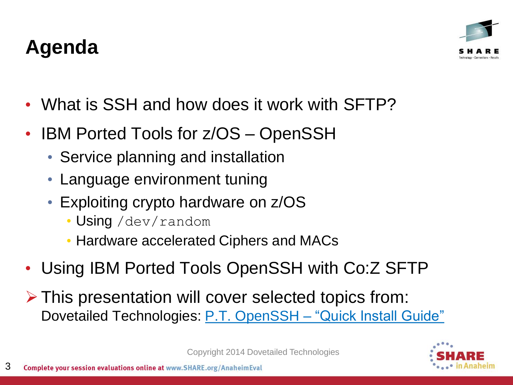#### 3 Complete your session evaluations online at www.SHARE.org/AnaheimEval

#### **Agenda**

- What is SSH and how does it work with SFTP?
- IBM Ported Tools for z/OS OpenSSH
	- Service planning and installation
	- Language environment tuning
	- Exploiting crypto hardware on z/OS
		- Using /dev/random
		- Hardware accelerated Ciphers and MACs
- Using IBM Ported Tools OpenSSH with Co:Z SFTP
- $\triangleright$  This presentation will cover selected topics from: Dovetailed Technologies: [P.T. OpenSSH](http://dovetail.com/docs/pt-quick-inst/pt-quick-inst-doc.pdf) [–](http://dovetail.com/docs/pt-quick-inst/pt-quick-inst-doc.pdf) ["Quick Install Guide"](http://dovetail.com/docs/pt-quick-inst/pt-quick-inst-doc.pdf)



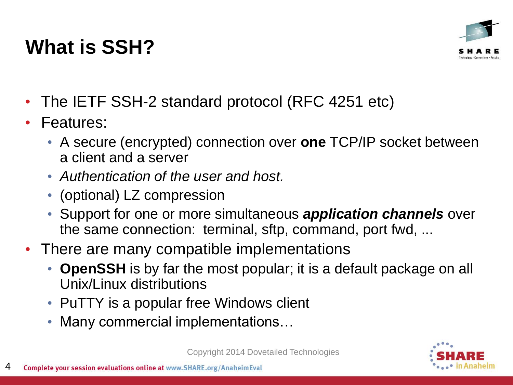# **What is SSH?**



- The IETF SSH-2 standard protocol (RFC 4251 etc)
- Features:
	- A secure (encrypted) connection over **one** TCP/IP socket between a client and a server
	- *Authentication of the user and host.*
	- (optional) LZ compression
	- Support for one or more simultaneous *application channels* over the same connection: terminal, sftp, command, port fwd, ...
- There are many compatible implementations
	- **OpenSSH** is by far the most popular; it is a default package on all Unix/Linux distributions
	- PuTTY is a popular free Windows client
	- Many commercial implementations…

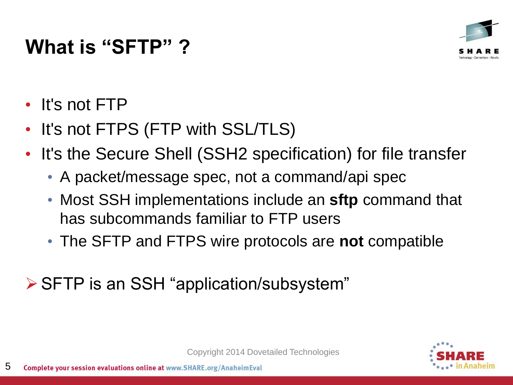#### **What is "SFTP" ?**



- It's not FTP
- It's not FTPS (FTP with SSL/TLS)
- It's the Secure Shell (SSH2 specification) for file transfer
	- A packet/message spec, not a command/api spec
	- Most SSH implementations include an **sftp** command that has subcommands familiar to FTP users
	- The SFTP and FTPS wire protocols are **not** compatible

SFTP is an SSH "application/subsystem"

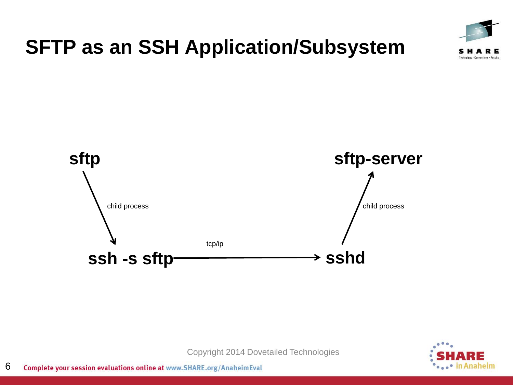

#### **SFTP as an SSH Application/Subsystem**



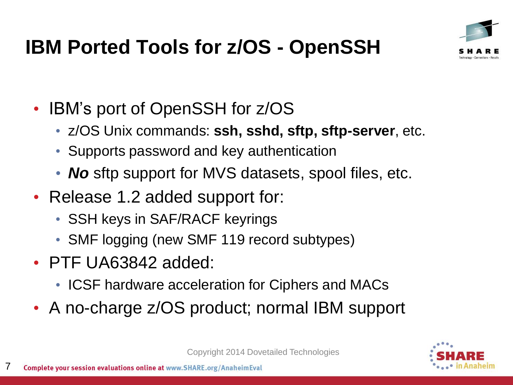

# **IBM Ported Tools for z/OS - OpenSSH**

- IBM's port of OpenSSH for z/OS
	- z/OS Unix commands: **ssh, sshd, sftp, sftp-server**, etc.
	- Supports password and key authentication
	- **No** sftp support for MVS datasets, spool files, etc.
- Release 1.2 added support for:
	- SSH keys in SAF/RACF keyrings
	- SMF logging (new SMF 119 record subtypes)
- PTF UA63842 added:
	- ICSF hardware acceleration for Ciphers and MACs
- A no-charge z/OS product; normal IBM support

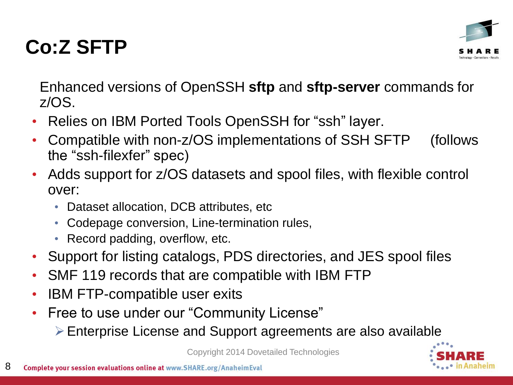#### **Co:Z SFTP**



Enhanced versions of OpenSSH **sftp** and **sftp-server** commands for z/OS.

- Relies on IBM Ported Tools OpenSSH for "ssh" layer.
- Compatible with non-z/OS implementations of SSH SFTP (follows the "ssh-filexfer" spec)
- Adds support for z/OS datasets and spool files, with flexible control over:
	- Dataset allocation, DCB attributes, etc
	- Codepage conversion, Line-termination rules,
	- Record padding, overflow, etc.
- Support for listing catalogs, PDS directories, and JES spool files
- SMF 119 records that are compatible with IBM FTP
- IBM FTP-compatible user exits
- Free to use under our "Community License"
	- Enterprise License and Support agreements are also available

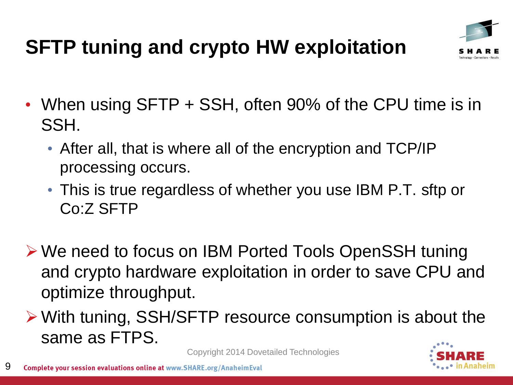# **SFTP tuning and crypto HW exploitation**



- When using SFTP + SSH, often 90% of the CPU time is in SSH.
	- After all, that is where all of the encryption and TCP/IP processing occurs.
	- This is true regardless of whether you use IBM P.T. sftp or Co:Z SFTP
- We need to focus on IBM Ported Tools OpenSSH tuning and crypto hardware exploitation in order to save CPU and optimize throughput.
- With tuning, SSH/SFTP resource consumption is about the same as FTPS.

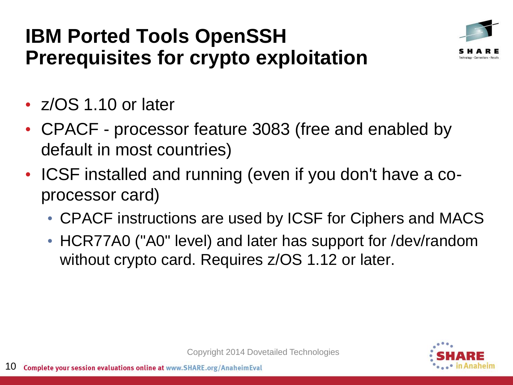#### **IBM Ported Tools OpenSSH Prerequisites for crypto exploitation**



- z/OS 1.10 or later
- CPACF processor feature 3083 (free and enabled by default in most countries)
- ICSF installed and running (even if you don't have a coprocessor card)
	- CPACF instructions are used by ICSF for Ciphers and MACS
	- HCR77A0 ("A0" level) and later has support for /dev/random without crypto card. Requires z/OS 1.12 or later.

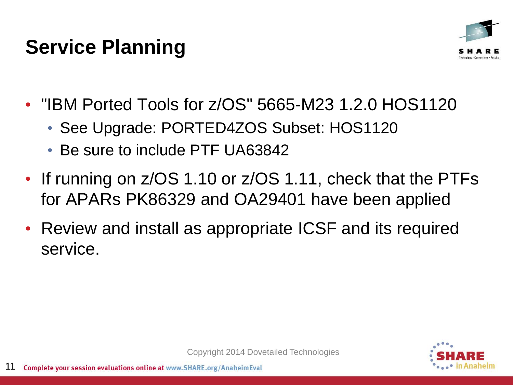#### **Service Planning**



- "IBM Ported Tools for z/OS" 5665-M23 1.2.0 HOS1120
	- See Upgrade: PORTED4ZOS Subset: HOS1120
	- Be sure to include PTF UA63842
- If running on z/OS 1.10 or z/OS 1.11, check that the PTFs for APARs PK86329 and OA29401 have been applied
- Review and install as appropriate ICSF and its required service.

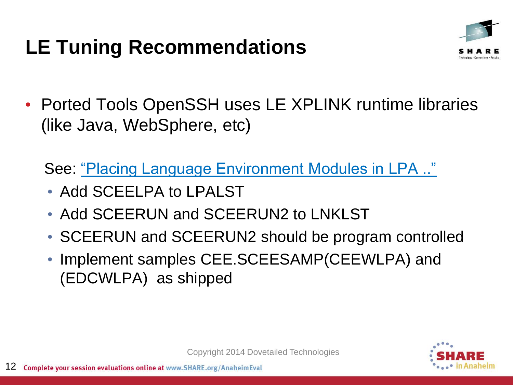# **LE Tuning Recommendations**



• Ported Tools OpenSSH uses LE XPLINK runtime libraries (like Java, WebSphere, etc)

See: ["Placing Language Environment Modules in LPA .."](http://pic.dhe.ibm.com/infocenter/zos/v2r1/index.jsp?topic=/com.ibm.zos.v2r1.ceea500/plnilpa.htm)

- Add SCEELPA to LPALST
- Add SCEERUN and SCEERUN2 to LNKLST
- SCEERUN and SCEERUN2 should be program controlled
- Implement samples CEE.SCEESAMP(CEEWLPA) and (EDCWLPA) as shipped

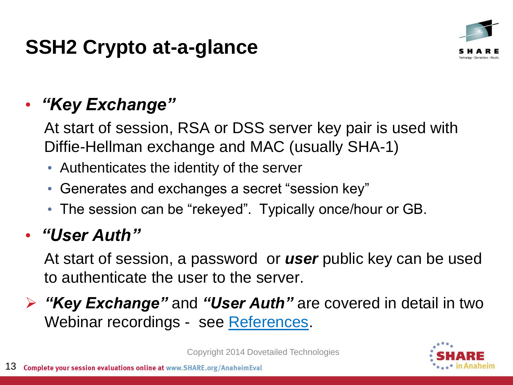#### **SSH2 Crypto at-a-glance**



#### • *"Key Exchange"*

At start of session, RSA or DSS server key pair is used with Diffie-Hellman exchange and MAC (usually SHA-1)

- Authenticates the identity of the server
- Generates and exchanges a secret "session key"
- The session can be "rekeyed". Typically once/hour or GB.

#### • *"User Auth"*

At start of session, a password or *user* public key can be used to authenticate the user to the server.

 *"Key Exchange"* and *"User Auth"* are covered in detail in two Webinar recordings - see [References](#page-32-0).

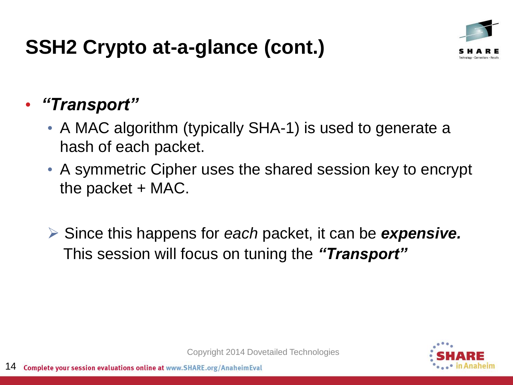#### **SSH2 Crypto at-a-glance (cont.)**



#### • *"Transport"*

- A MAC algorithm (typically SHA-1) is used to generate a hash of each packet.
- A symmetric Cipher uses the shared session key to encrypt the packet  $+$  MAC.
- Since this happens for *each* packet, it can be *expensive.* This session will focus on tuning the *"Transport"*

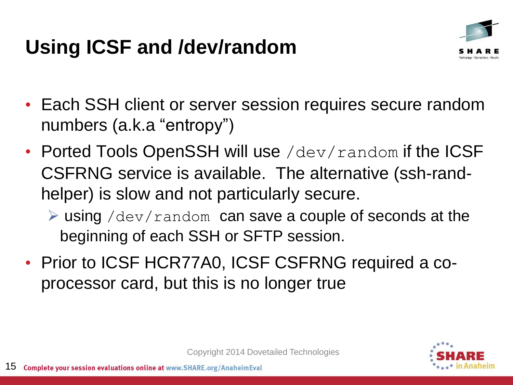# **Using ICSF and /dev/random**



- Each SSH client or server session requires secure random numbers (a.k.a "entropy")
- Ported Tools OpenSSH will use /dev/random if the ICSF CSFRNG service is available. The alternative (ssh-randhelper) is slow and not particularly secure.
	- $\triangleright$  using /dev/random can save a couple of seconds at the beginning of each SSH or SFTP session.
- Prior to ICSF HCR77A0, ICSF CSFRNG required a coprocessor card, but this is no longer true

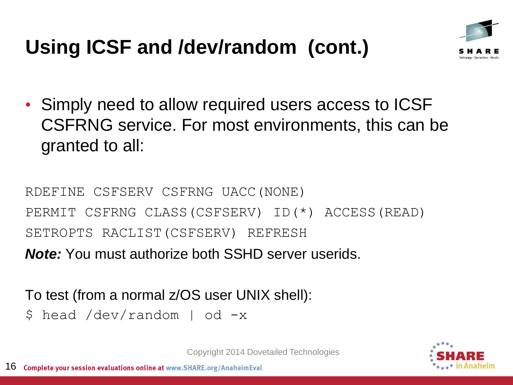# **Using ICSF and /dev/random (cont.)**



• Simply need to allow required users access to ICSF CSFRNG service. For most environments, this can be granted to all:

RDEFINE CSFSERV CSFRNG UACC(NONE) PERMIT CSFRNG CLASS(CSFSERV) ID(\*) ACCESS(READ) SETROPTS RACLIST(CSFSERV) REFRESH *Note:* You must authorize both SSHD server userids.

To test (from a normal z/OS user UNIX shell):

\$ head /dev/random | od -x

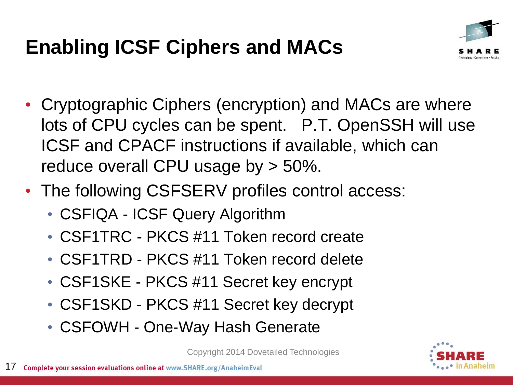# **Enabling ICSF Ciphers and MACs**



- Cryptographic Ciphers (encryption) and MACs are where lots of CPU cycles can be spent. P.T. OpenSSH will use ICSF and CPACF instructions if available, which can reduce overall CPU usage by > 50%.
- The following CSFSERV profiles control access:
	- CSFIQA ICSF Query Algorithm
	- CSF1TRC PKCS #11 Token record create
	- CSF1TRD PKCS #11 Token record delete
	- CSF1SKE PKCS #11 Secret key encrypt
	- CSF1SKD PKCS #11 Secret key decrypt
	- CSFOWH One-Way Hash Generate

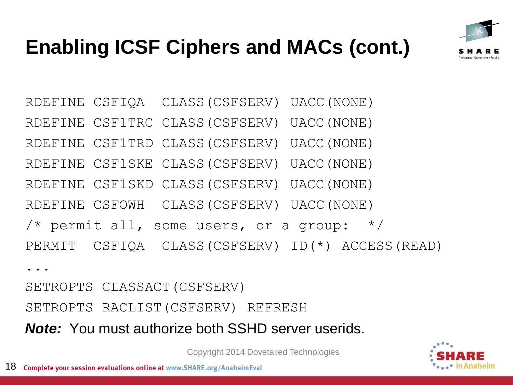

# **Enabling ICSF Ciphers and MACs (cont.)**

RDEFINE CSFIQA CLASS(CSFSERV) UACC(NONE) RDEFINE CSF1TRC CLASS(CSFSERV) UACC(NONE) RDEFINE CSF1TRD CLASS(CSFSERV) UACC(NONE) RDEFINE CSF1SKE CLASS(CSFSERV) UACC(NONE) RDEFINE CSF1SKD CLASS(CSFSERV) UACC(NONE) RDEFINE CSFOWH CLASS(CSFSERV) UACC(NONE) /\* permit all, some users, or a group:  $*/$ PERMIT CSFIQA CLASS(CSFSERV) ID(\*) ACCESS(READ) ...

SETROPTS CLASSACT(CSFSERV) SETROPTS RACLIST(CSFSERV) REFRESH *Note:* You must authorize both SSHD server userids.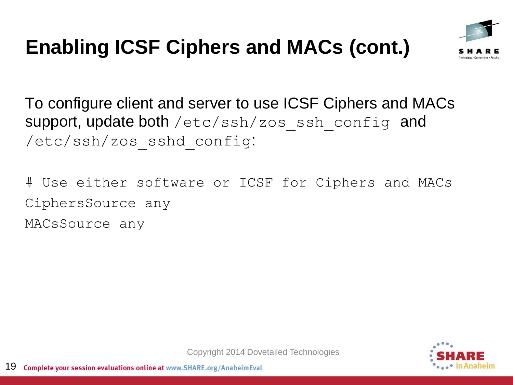# **Enabling ICSF Ciphers and MACs (cont.)**



To configure client and server to use ICSF Ciphers and MACs support, update both /etc/ssh/zos\_ssh\_config and /etc/ssh/zos\_sshd\_config:

# Use either software or ICSF for Ciphers and MACs CiphersSource any

MACsSource any

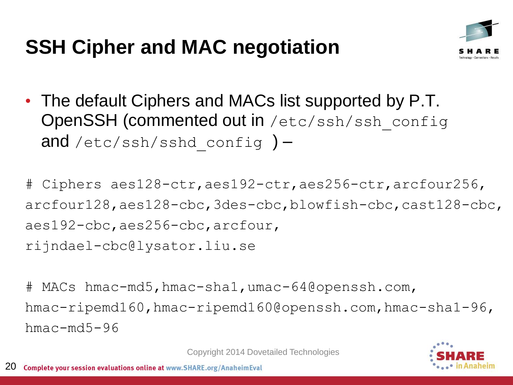# **SSH Cipher and MAC negotiation**



• The default Ciphers and MACs list supported by P.T. OpenSSH (commented out in /etc/ssh/ssh\_config and /etc/ssh/sshd config  $)$  –

# Ciphers aes128-ctr,aes192-ctr,aes256-ctr,arcfour256, arcfour128,aes128-cbc,3des-cbc,blowfish-cbc,cast128-cbc, aes192-cbc,aes256-cbc,arcfour, rijndael-cbc@lysator.liu.se

# MACs hmac-md5,hmac-sha1,umac-64@openssh.com, hmac-ripemd160,hmac-ripemd160@openssh.com,hmac-sha1-96, hmac-md5-96

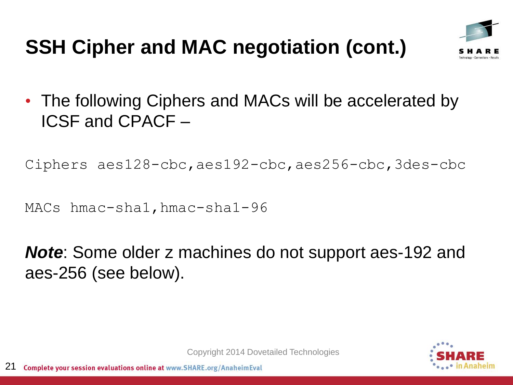# **SSH Cipher and MAC negotiation (cont.)**



• The following Ciphers and MACs will be accelerated by ICSF and CPACF –

Ciphers aes128-cbc,aes192-cbc,aes256-cbc,3des-cbc

MACs hmac-sha1,hmac-sha1-96

*Note*: Some older z machines do not support aes-192 and aes-256 (see below).

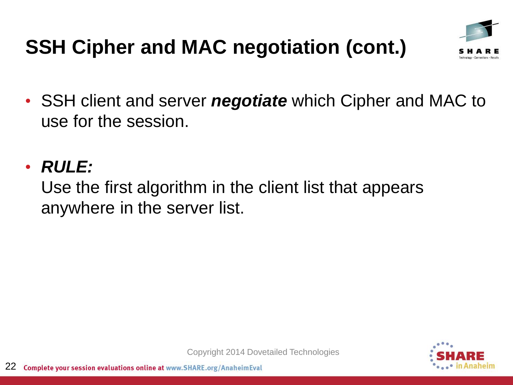# **SSH Cipher and MAC negotiation (cont.)**



• SSH client and server *negotiate* which Cipher and MAC to use for the session.

#### • *RULE:*

Use the first algorithm in the client list that appears anywhere in the server list.

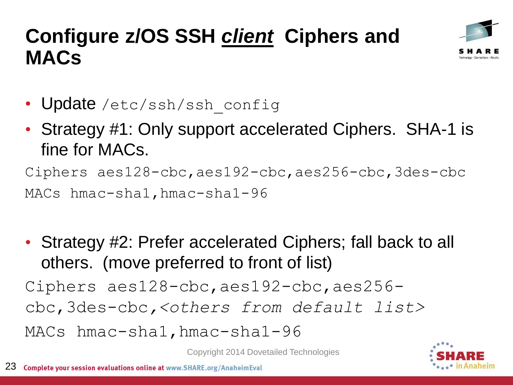#### **Configure z/OS SSH** *client* **Ciphers and MACs**



- Update /etc/ssh/ssh\_config
- Strategy #1: Only support accelerated Ciphers. SHA-1 is fine for MACs.

```
Ciphers aes128-cbc,aes192-cbc,aes256-cbc,3des-cbc
```
MACs hmac-sha1, hmac-sha1-96

• Strategy #2: Prefer accelerated Ciphers; fall back to all others. (move preferred to front of list) Ciphers aes128-cbc,aes192-cbc,aes256 cbc,3des-cbc*,<others from default list>* MACs hmac-sha1,hmac-sha1-96

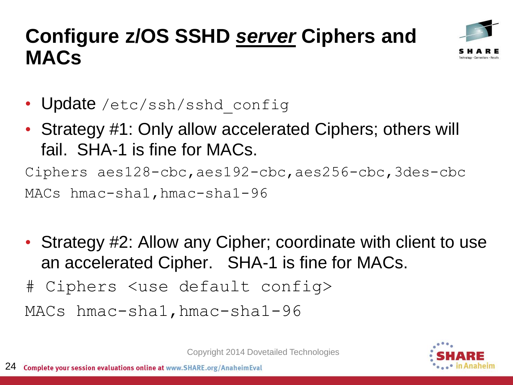#### **Configure z/OS SSHD** *server* **Ciphers and MACs**



- Update /etc/ssh/sshd config
- Strategy #1: Only allow accelerated Ciphers; others will fail. SHA-1 is fine for MACs.

Ciphers aes128-cbc,aes192-cbc,aes256-cbc,3des-cbc MACs hmac-sha1,hmac-sha1-96

- Strategy #2: Allow any Cipher; coordinate with client to use an accelerated Cipher. SHA-1 is fine for MACs.
- # Ciphers <use default config>

MACs hmac-sha1, hmac-sha1-96

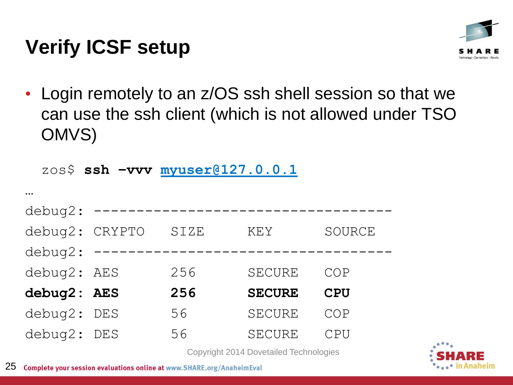# **Verify ICSF setup**



• Login remotely to an z/OS ssh shell session so that we can use the ssh client (which is not allowed under TSO OMVS)

zos\$ **ssh –vvv [myuser@127.0.0.1](mailto:myuser@127.0.0.1)**

| $\bullet\bullet\bullet$ |     |      |               |            |
|-------------------------|-----|------|---------------|------------|
| debug2:                 |     |      |               |            |
| debug2: CRYPTO          |     | SIZE | <b>KEY</b>    | SOURCE     |
| debug2:                 |     |      |               |            |
| debug2: AES             |     | 256  | <b>SECURE</b> | COP        |
| debug2: AES             |     | 256  | <b>SECURE</b> | <b>CPU</b> |
| debug2:                 | DES | 56   | <b>SECURE</b> | COP        |
| debug2:                 | DES | 56   | <b>SECURE</b> | CPU        |

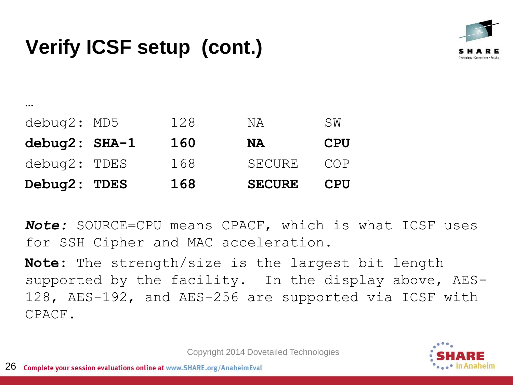## **Verify ICSF setup (cont.)**



| Debug2: TDES            | 168 | <b>SECURE</b> | CPU        |
|-------------------------|-----|---------------|------------|
| debug2: TDES            | 168 | <b>SECURE</b> | COP        |
| debug2: SHA-1           | 160 | <b>NA</b>     | <b>CPU</b> |
| debug2: MD5             | 128 | NA            | SW         |
| $\bullet\bullet\bullet$ |     |               |            |

*Note:* SOURCE=CPU means CPACF, which is what ICSF uses for SSH Cipher and MAC acceleration.

**Note:** The strength/size is the largest bit length supported by the facility. In the display above, AES-128, AES-192, and AES-256 are supported via ICSF with CPACF.

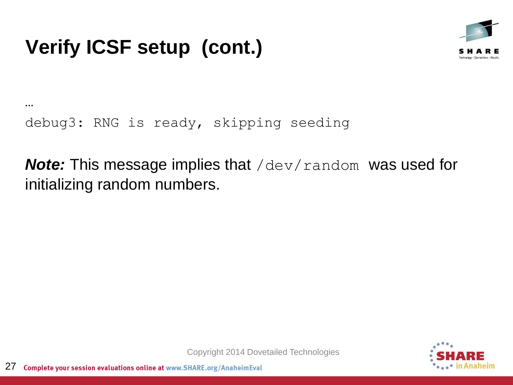# **Verify ICSF setup (cont.)**



… debug3: RNG is ready, skipping seeding

*Note:* This message implies that /dev/random was used for initializing random numbers.

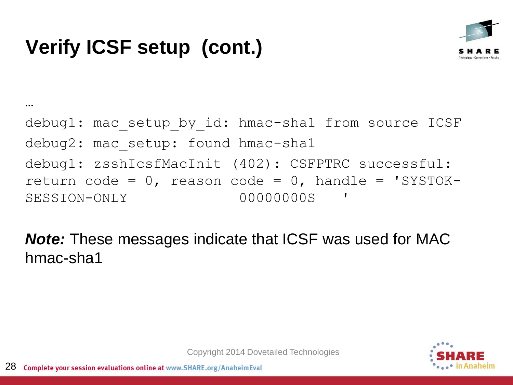# **Verify ICSF setup (cont.)**

…



#### debug1: mac setup by id: hmac-sha1 from source ICSF debug2: mac setup: found hmac-sha1 debug1: zsshIcsfMacInit (402): CSFPTRC successful: return code =  $0$ , reason code =  $0$ , handle = 'SYSTOK-SESSION-ONLY 00000000S

*Note:* These messages indicate that ICSF was used for MAC hmac-sha1

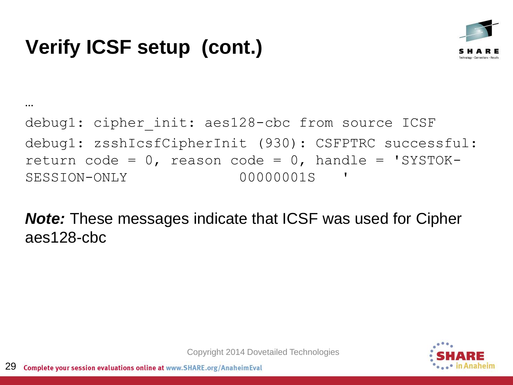

#### … debug1: cipher init: aes128-cbc from source ICSF debug1: zsshIcsfCipherInit (930): CSFPTRC successful: return code =  $0$ , reason code =  $0$ , handle = 'SYSTOK-SESSION-ONLY 00000001S

*Note:* These messages indicate that ICSF was used for Cipher aes128-cbc

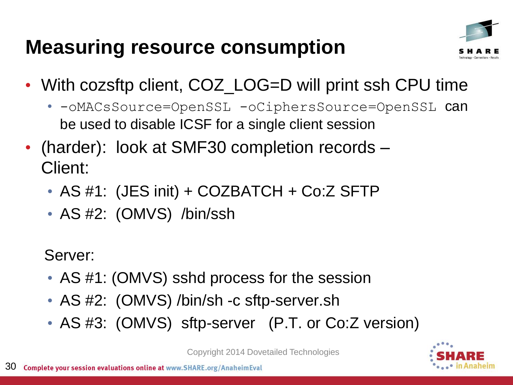#### **Measuring resource consumption**



- With cozsftp client, COZ\_LOG=D will print ssh CPU time
	- -oMACsSource=OpenSSL -oCiphersSource=OpenSSL can be used to disable ICSF for a single client session
- (harder): look at SMF30 completion records Client:
	- AS #1: (JES init) + COZBATCH + Co:Z SFTP
	- AS #2: (OMVS) /bin/ssh

Server:

- AS #1: (OMVS) sshd process for the session
- AS #2: (OMVS) /bin/sh -c sftp-server.sh
- AS #3: (OMVS) sftp-server (P.T. or Co:Z version)

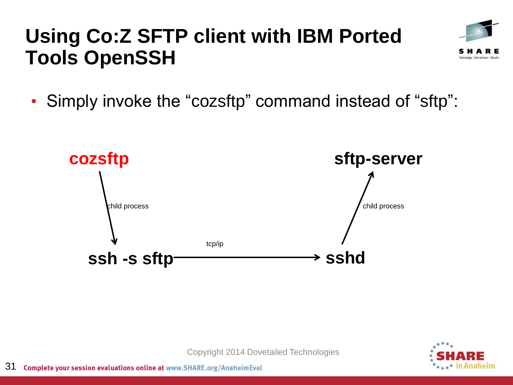#### **Using Co:Z SFTP client with IBM Ported Tools OpenSSH**



• Simply invoke the "cozsftp" command instead of "sftp":





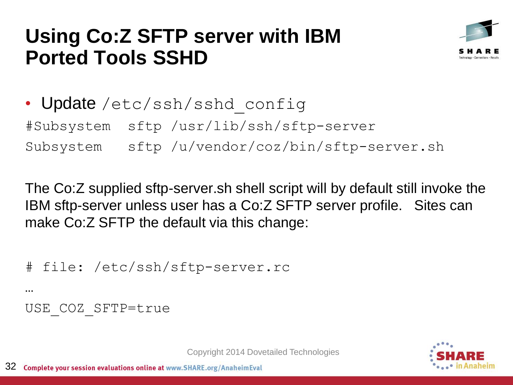#### **Using Co:Z SFTP server with IBM Ported Tools SSHD**



• Update /etc/ssh/sshd\_config #Subsystem sftp /usr/lib/ssh/sftp-server Subsystem sftp /u/vendor/coz/bin/sftp-server.sh

The Co:Z supplied sftp-server.sh shell script will by default still invoke the IBM sftp-server unless user has a Co:Z SFTP server profile. Sites can make Co:Z SFTP the default via this change:

```
# file: /etc/ssh/sftp-server.rc
```
…

#### USE\_COZ\_SFTP=true